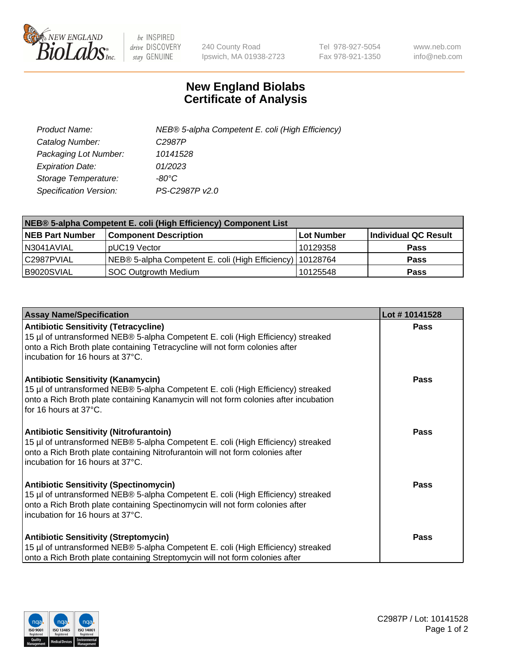

 $be$  INSPIRED drive DISCOVERY stay GENUINE

240 County Road Ipswich, MA 01938-2723 Tel 978-927-5054 Fax 978-921-1350 www.neb.com info@neb.com

## **New England Biolabs Certificate of Analysis**

| Product Name:                 | NEB® 5-alpha Competent E. coli (High Efficiency) |
|-------------------------------|--------------------------------------------------|
| Catalog Number:               | C <sub>2987</sub> P                              |
| Packaging Lot Number:         | 10141528                                         |
| <b>Expiration Date:</b>       | 01/2023                                          |
| Storage Temperature:          | -80°C                                            |
| <b>Specification Version:</b> | PS-C2987P v2.0                                   |

| NEB® 5-alpha Competent E. coli (High Efficiency) Component List |                                                             |            |                      |  |
|-----------------------------------------------------------------|-------------------------------------------------------------|------------|----------------------|--|
| <b>NEB Part Number</b>                                          | <b>Component Description</b>                                | Lot Number | Individual QC Result |  |
| N3041AVIAL                                                      | pUC19 Vector                                                | 10129358   | <b>Pass</b>          |  |
| C2987PVIAL                                                      | NEB® 5-alpha Competent E. coli (High Efficiency)   10128764 |            | <b>Pass</b>          |  |
| B9020SVIAL                                                      | <b>SOC Outgrowth Medium</b>                                 | 10125548   | <b>Pass</b>          |  |

| <b>Assay Name/Specification</b>                                                                                                                                                                                                                          | Lot #10141528 |
|----------------------------------------------------------------------------------------------------------------------------------------------------------------------------------------------------------------------------------------------------------|---------------|
| <b>Antibiotic Sensitivity (Tetracycline)</b><br>15 µl of untransformed NEB® 5-alpha Competent E. coli (High Efficiency) streaked<br>onto a Rich Broth plate containing Tetracycline will not form colonies after<br>incubation for 16 hours at 37°C.     | <b>Pass</b>   |
| <b>Antibiotic Sensitivity (Kanamycin)</b><br>15 µl of untransformed NEB® 5-alpha Competent E. coli (High Efficiency) streaked<br>onto a Rich Broth plate containing Kanamycin will not form colonies after incubation<br>for 16 hours at 37°C.           | <b>Pass</b>   |
| <b>Antibiotic Sensitivity (Nitrofurantoin)</b><br>15 µl of untransformed NEB® 5-alpha Competent E. coli (High Efficiency) streaked<br>onto a Rich Broth plate containing Nitrofurantoin will not form colonies after<br>incubation for 16 hours at 37°C. | Pass          |
| <b>Antibiotic Sensitivity (Spectinomycin)</b><br>15 µl of untransformed NEB® 5-alpha Competent E. coli (High Efficiency) streaked<br>onto a Rich Broth plate containing Spectinomycin will not form colonies after<br>incubation for 16 hours at 37°C.   | Pass          |
| <b>Antibiotic Sensitivity (Streptomycin)</b><br>15 µl of untransformed NEB® 5-alpha Competent E. coli (High Efficiency) streaked<br>onto a Rich Broth plate containing Streptomycin will not form colonies after                                         | Pass          |